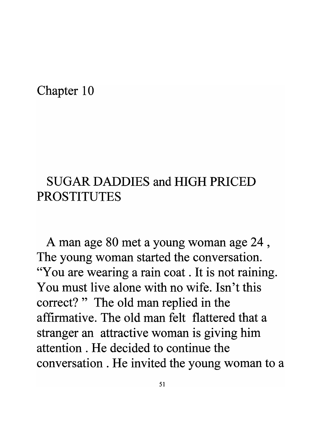## Chapter 10

## SUGAR DADDIES and HIGH PRICED **PROSTITUTES**

A man age 80 met a young woman age 24 , The young woman started the conversation. "You are wearing a rain coat . It is not raining. You must live alone with no wife. Isn't this correct?" The old man replied in the affirmative. The old man felt flattered that a stranger an attractive woman is giving him attention . He decided to continue the conversation . He invited the young woman to a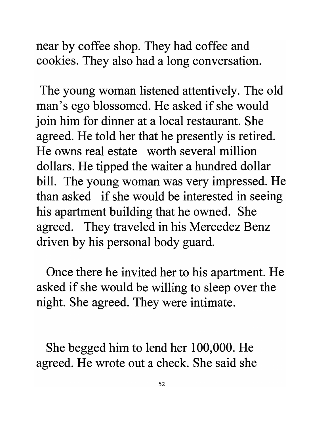near by coffee shop. They had coffee and cookies. They also had a long conversation.

The young woman listened attentively. The old man's ego blossomed. He asked if she would join him for dinner at a local restaurant. She agreed. He told her that he presently is retired. He owns real estate worth several million dollars. He tipped the waiter a hundred dollar bill. The young woman was very impressed. He than asked if she would be interested in seeing his apartment building that he owned. She agreed. They traveled in his Mercedez Benz driven by his personal body guard.

Once there he invited her to his apartment. He asked if she would be willing to sleep over the night. She agreed. They were intimate.

She begged him to lend her 100,000. He agreed. He wrote out a check. She said she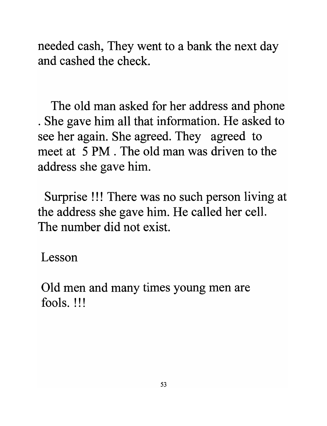needed cash, They went to a bank the next day and cashed the check.

The old man asked for her address and phone . She gave him all that information. He asked to see her again. She agreed. They agreed to meet at 5 PM . The old man was driven to the address she gave him.

Surprise !!! There was no such person living at the address she gave him. He called her cell. The number did not exist.

Lesson

Old men and many times young men are fools. !!!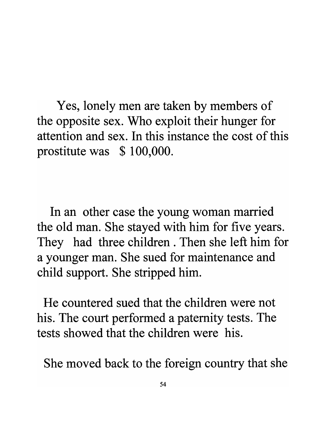Yes, lonely men are taken by members of the opposite sex. Who exploit their hunger for attention and sex. In this instance the cost of this prostitute was \$ 100,000.

In an other case the young woman married the old man. She stayed with him for five years. They had three children . Then she left him for a younger man. She sued for maintenance and child support. She stripped him.

He countered sued that the children were not his. The court performed a paternity tests. The tests showed that the children were his.

She moved back to the foreign country that she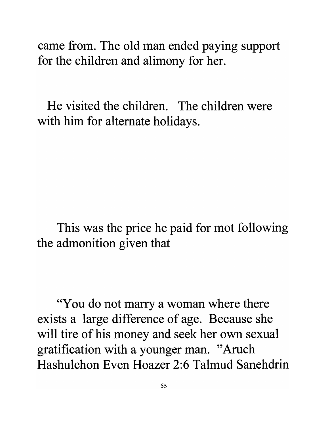came from. The old man ended paying support for the children and alimony for her.

He visited the children. The children were with him for alternate holidays.

This was the price he paid for mot following the admonition given that

"You do not marry a woman where there exists a large difference of age. Because she will tire of his money and seek her own sexual gratification with a younger man. "Aruch Hashulchon Even Hoazer 2:6 Talmud Sanehdrin